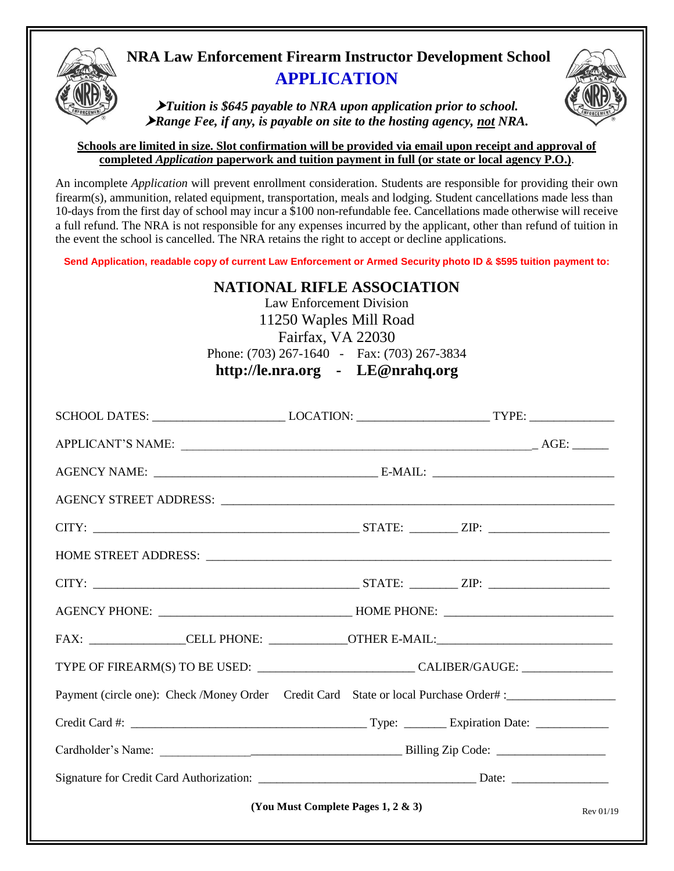

# **NRA Law Enforcement Firearm Instructor Development School APPLICATION**

*Tuition is \$645 payable to NRA upon application prior to school. Range Fee, if any, is payable on site to the hosting agency, not NRA.*

## **Schools are limited in size. Slot confirmation will be provided via email upon receipt and approval of completed** *Application* **paperwork and tuition payment in full (or state or local agency P.O.)**.

An incomplete *Application* will prevent enrollment consideration. Students are responsible for providing their own firearm(s), ammunition, related equipment, transportation, meals and lodging. Student cancellations made less than 10-days from the first day of school may incur a \$100 non-refundable fee. Cancellations made otherwise will receive a full refund. The NRA is not responsible for any expenses incurred by the applicant, other than refund of tuition in the event the school is cancelled. The NRA retains the right to accept or decline applications.

**Send Application, readable copy of current Law Enforcement or Armed Security photo ID & \$595 tuition payment to:**

## **NATIONAL RIFLE ASSOCIATION**

Law Enforcement Division 11250 Waples Mill Road Fairfax, VA 22030 Phone: (703) 267-1640 - Fax: (703) 267-3834 **http://le.nra.org - [LE@nrahq.org](mailto:LE@nrahq.org)**

| SCHOOL DATES: ___________________________LOCATION: _____________________________TYPE: ______________ |  |  |  |  |  |
|------------------------------------------------------------------------------------------------------|--|--|--|--|--|
|                                                                                                      |  |  |  |  |  |
|                                                                                                      |  |  |  |  |  |
|                                                                                                      |  |  |  |  |  |
|                                                                                                      |  |  |  |  |  |
|                                                                                                      |  |  |  |  |  |
|                                                                                                      |  |  |  |  |  |
|                                                                                                      |  |  |  |  |  |
| FAX: _________________CELL PHONE: _____________OTHER E-MAIL:_____________________                    |  |  |  |  |  |
|                                                                                                      |  |  |  |  |  |
| Payment (circle one): Check /Money Order Credit Card State or local Purchase Order#:________________ |  |  |  |  |  |
|                                                                                                      |  |  |  |  |  |
|                                                                                                      |  |  |  |  |  |
|                                                                                                      |  |  |  |  |  |
| (You Must Complete Pages 1, 2 $\&$ 3)<br>Rev 01/19                                                   |  |  |  |  |  |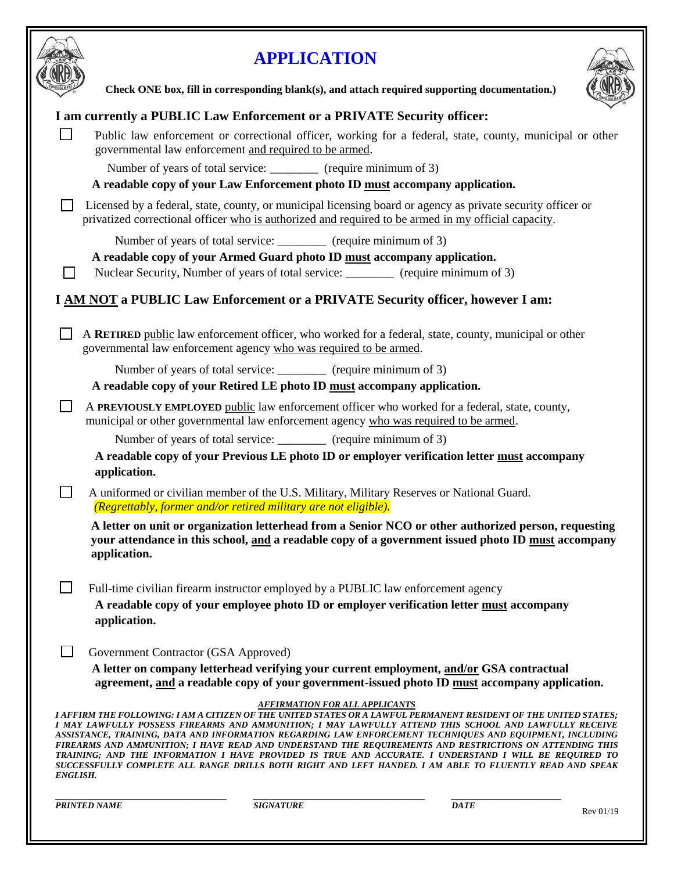

|                |                                                        | <b>APPLICATION</b>                                                                                                                                                                                                                                                                                                                                                                                                                                                                                                                                                                                                                                                                                              |             |           |
|----------------|--------------------------------------------------------|-----------------------------------------------------------------------------------------------------------------------------------------------------------------------------------------------------------------------------------------------------------------------------------------------------------------------------------------------------------------------------------------------------------------------------------------------------------------------------------------------------------------------------------------------------------------------------------------------------------------------------------------------------------------------------------------------------------------|-------------|-----------|
|                |                                                        | Check ONE box, fill in corresponding blank(s), and attach required supporting documentation.)                                                                                                                                                                                                                                                                                                                                                                                                                                                                                                                                                                                                                   |             |           |
|                |                                                        | I am currently a PUBLIC Law Enforcement or a PRIVATE Security officer:                                                                                                                                                                                                                                                                                                                                                                                                                                                                                                                                                                                                                                          |             |           |
|                | governmental law enforcement and required to be armed. | Public law enforcement or correctional officer, working for a federal, state, county, municipal or other                                                                                                                                                                                                                                                                                                                                                                                                                                                                                                                                                                                                        |             |           |
|                |                                                        | Number of years of total service: _________ (require minimum of 3)<br>A readable copy of your Law Enforcement photo ID must accompany application.                                                                                                                                                                                                                                                                                                                                                                                                                                                                                                                                                              |             |           |
|                |                                                        | Licensed by a federal, state, county, or municipal licensing board or agency as private security officer or<br>privatized correctional officer who is authorized and required to be armed in my official capacity.                                                                                                                                                                                                                                                                                                                                                                                                                                                                                              |             |           |
|                |                                                        | Number of years of total service: _________ (require minimum of 3)                                                                                                                                                                                                                                                                                                                                                                                                                                                                                                                                                                                                                                              |             |           |
| $\blacksquare$ |                                                        | A readable copy of your Armed Guard photo ID must accompany application.<br>Nuclear Security, Number of years of total service: _________ (require minimum of 3)                                                                                                                                                                                                                                                                                                                                                                                                                                                                                                                                                |             |           |
|                |                                                        |                                                                                                                                                                                                                                                                                                                                                                                                                                                                                                                                                                                                                                                                                                                 |             |           |
|                |                                                        | I AM NOT a PUBLIC Law Enforcement or a PRIVATE Security officer, however I am:                                                                                                                                                                                                                                                                                                                                                                                                                                                                                                                                                                                                                                  |             |           |
|                |                                                        | A RETIRED public law enforcement officer, who worked for a federal, state, county, municipal or other<br>governmental law enforcement agency who was required to be armed.                                                                                                                                                                                                                                                                                                                                                                                                                                                                                                                                      |             |           |
|                |                                                        | Number of years of total service: __________ (require minimum of 3)                                                                                                                                                                                                                                                                                                                                                                                                                                                                                                                                                                                                                                             |             |           |
|                |                                                        | A readable copy of your Retired LE photo ID must accompany application.                                                                                                                                                                                                                                                                                                                                                                                                                                                                                                                                                                                                                                         |             |           |
|                |                                                        | A PREVIOUSLY EMPLOYED public law enforcement officer who worked for a federal, state, county,<br>municipal or other governmental law enforcement agency who was required to be armed.                                                                                                                                                                                                                                                                                                                                                                                                                                                                                                                           |             |           |
|                |                                                        | Number of years of total service: __________ (require minimum of 3)                                                                                                                                                                                                                                                                                                                                                                                                                                                                                                                                                                                                                                             |             |           |
|                | application.                                           | A readable copy of your Previous LE photo ID or employer verification letter must accompany                                                                                                                                                                                                                                                                                                                                                                                                                                                                                                                                                                                                                     |             |           |
|                |                                                        | A uniformed or civilian member of the U.S. Military, Military Reserves or National Guard.<br>(Regrettably, former and/or retired military are not eligible).                                                                                                                                                                                                                                                                                                                                                                                                                                                                                                                                                    |             |           |
|                | application.                                           | A letter on unit or organization letterhead from a Senior NCO or other authorized person, requesting<br>your attendance in this school, and a readable copy of a government issued photo ID must accompany                                                                                                                                                                                                                                                                                                                                                                                                                                                                                                      |             |           |
|                |                                                        | Full-time civilian firearm instructor employed by a PUBLIC law enforcement agency                                                                                                                                                                                                                                                                                                                                                                                                                                                                                                                                                                                                                               |             |           |
|                | application.                                           | A readable copy of your employee photo ID or employer verification letter must accompany                                                                                                                                                                                                                                                                                                                                                                                                                                                                                                                                                                                                                        |             |           |
|                | Government Contractor (GSA Approved)                   |                                                                                                                                                                                                                                                                                                                                                                                                                                                                                                                                                                                                                                                                                                                 |             |           |
|                |                                                        | A letter on company letterhead verifying your current employment, and/or GSA contractual<br>agreement, and a readable copy of your government-issued photo ID must accompany application.                                                                                                                                                                                                                                                                                                                                                                                                                                                                                                                       |             |           |
| ENGLISH.       |                                                        | <b>AFFIRMATION FOR ALL APPLICANTS</b><br>I AFFIRM THE FOLLOWING: I AM A CITIZEN OF THE UNITED STATES OR A LAWFUL PERMANENT RESIDENT OF THE UNITED STATES;<br>I MAY LAWFULLY POSSESS FIREARMS AND AMMUNITION; I MAY LAWFULLY ATTEND THIS SCHOOL AND LAWFULLY RECEIVE<br>ASSISTANCE, TRAINING, DATA AND INFORMATION REGARDING LAW ENFORCEMENT TECHNIQUES AND EQUIPMENT, INCLUDING<br>FIREARMS AND AMMUNITION; I HAVE READ AND UNDERSTAND THE REQUIREMENTS AND RESTRICTIONS ON ATTENDING THIS<br>TRAINING; AND THE INFORMATION I HAVE PROVIDED IS TRUE AND ACCURATE. I UNDERSTAND I WILL BE REQUIRED TO<br>SUCCESSFULLY COMPLETE ALL RANGE DRILLS BOTH RIGHT AND LEFT HANDED. I AM ABLE TO FLUENTLY READ AND SPEAK |             |           |
|                | <b>PRINTED NAME</b>                                    | <b>SIGNATURE</b>                                                                                                                                                                                                                                                                                                                                                                                                                                                                                                                                                                                                                                                                                                | <b>DATE</b> | Rev 01/19 |